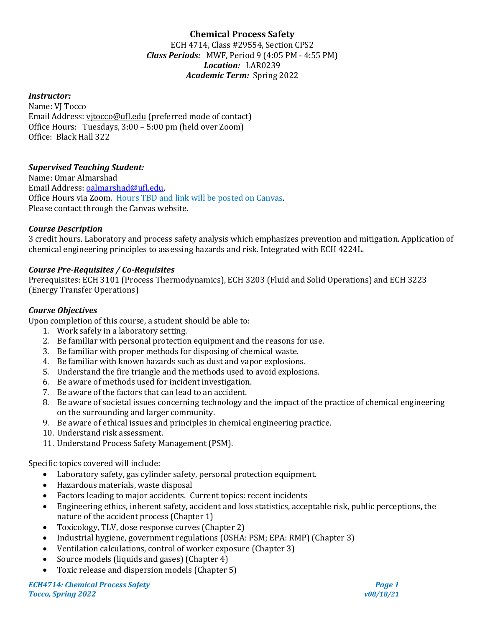# **Chemical Process Safety**

ECH 4714, Class #29554, Section CPS2 *Class Periods:* MWF, Period 9 (4:05 PM - 4:55 PM) *Location:* LAR0239 *Academic Term:* Spring 2022

### *Instructor:*

Name: VJ Tocco Email Address: vjtocco@ufl.edu (preferred mode of contact) Office Hours: Tuesdays, 3:00 – 5:00 pm (held over Zoom) Office: Black Hall 322

#### *Supervised Teaching Student:*

Name: Omar Almarshad Email Address: [oalmarshad@ufl.edu,](mailto:oalmarshad@ufl.edu)  Office Hours via Zoom. Hours TBD and link will be posted on Canvas. Please contact through the Canvas website.

#### *Course Description*

3 credit hours. Laboratory and process safety analysis which emphasizes prevention and mitigation. Application of chemical engineering principles to assessing hazards and risk. Integrated with ECH 4224L.

#### *Course Pre-Requisites / Co-Requisites*

Prerequisites: ECH 3101 (Process Thermodynamics), ECH 3203 (Fluid and Solid Operations) and ECH 3223 (Energy Transfer Operations)

#### *Course Objectives*

Upon completion of this course, a student should be able to:

- 1. Work safely in a laboratory setting.
- 2. Be familiar with personal protection equipment and the reasons for use.
- 3. Be familiar with proper methods for disposing of chemical waste.
- 4. Be familiar with known hazards such as dust and vapor explosions.
- 5. Understand the fire triangle and the methods used to avoid explosions.
- 6. Be aware of methods used for incident investigation.
- 7. Be aware of the factors that can lead to an accident.
- 8. Be aware of societal issues concerning technology and the impact of the practice of chemical engineering on the surrounding and larger community.
- 9. Be aware of ethical issues and principles in chemical engineering practice.
- 10. Understand risk assessment.
- 11. Understand Process Safety Management (PSM).

Specific topics covered will include:

- Laboratory safety, gas cylinder safety, personal protection equipment.
- Hazardous materials, waste disposal
- Factors leading to major accidents. Current topics: recent incidents
- Engineering ethics, inherent safety, accident and loss statistics, acceptable risk, public perceptions, the nature of the accident process (Chapter 1)
- Toxicology, TLV, dose response curves (Chapter 2)
- Industrial hygiene, government regulations (OSHA: PSM; EPA: RMP) (Chapter 3)
- Ventilation calculations, control of worker exposure (Chapter 3)
- Source models (liquids and gases) (Chapter 4)
- Toxic release and dispersion models (Chapter 5)

*ECH4714: Chemical Process Safety Page 1 Tocco, Spring 2022 v08/18/21*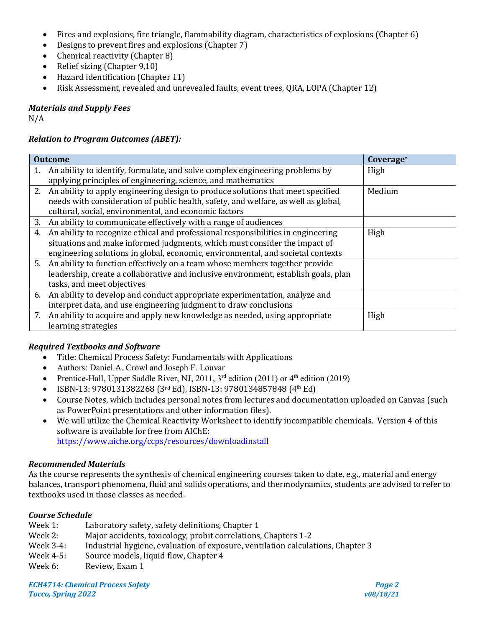- Fires and explosions, fire triangle, flammability diagram, characteristics of explosions (Chapter 6)
- Designs to prevent fires and explosions (Chapter 7)
- Chemical reactivity (Chapter 8)
- Relief sizing (Chapter 9,10)
- Hazard identification (Chapter 11)
- Risk Assessment, revealed and unrevealed faults, event trees, QRA, LOPA (Chapter 12)

*Materials and Supply Fees*

N/A

## *Relation to Program Outcomes (ABET):*

| <b>Outcome</b> |                                                                                     | Coverage <sup>*</sup> |
|----------------|-------------------------------------------------------------------------------------|-----------------------|
|                | 1. An ability to identify, formulate, and solve complex engineering problems by     | High                  |
|                | applying principles of engineering, science, and mathematics                        |                       |
|                | 2. An ability to apply engineering design to produce solutions that meet specified  | Medium                |
|                | needs with consideration of public health, safety, and welfare, as well as global,  |                       |
|                | cultural, social, environmental, and economic factors                               |                       |
|                | 3. An ability to communicate effectively with a range of audiences                  |                       |
| 4.             | An ability to recognize ethical and professional responsibilities in engineering    | High                  |
|                | situations and make informed judgments, which must consider the impact of           |                       |
|                | engineering solutions in global, economic, environmental, and societal contexts     |                       |
|                | 5. An ability to function effectively on a team whose members together provide      |                       |
|                | leadership, create a collaborative and inclusive environment, establish goals, plan |                       |
|                | tasks, and meet objectives                                                          |                       |
|                | 6. An ability to develop and conduct appropriate experimentation, analyze and       |                       |
|                | interpret data, and use engineering judgment to draw conclusions                    |                       |
|                | 7. An ability to acquire and apply new knowledge as needed, using appropriate       | High                  |
|                | learning strategies                                                                 |                       |

## *Required Textbooks and Software*

- Title: Chemical Process Safety: Fundamentals with Applications
- Authors: Daniel A. Crowl and Joseph F. Louvar
- Prentice-Hall, Upper Saddle River, NJ, 2011,  $3<sup>rd</sup>$  edition (2011) or  $4<sup>th</sup>$  edition (2019)
- ISBN-13: 9780131382268 (3rd Ed), ISBN-13: 9780134857848 (4th Ed)
- Course Notes, which includes personal notes from lectures and documentation uploaded on Canvas (such as PowerPoint presentations and other information files).
- We will utilize the Chemical Reactivity Worksheet to identify incompatible chemicals. Version 4 of this software is available for free from AIChE: <https://www.aiche.org/ccps/resources/downloadinstall>

## *Recommended Materials*

As the course represents the synthesis of chemical engineering courses taken to date, e.g., material and energy balances, transport phenomena, fluid and solids operations, and thermodynamics, students are advised to refer to textbooks used in those classes as needed.

## *Course Schedule*

- Week 1: Laboratory safety, safety definitions, Chapter 1<br>Week 2: Maior accidents, toxicology, probit correlations
- Week 2: Major accidents, toxicology, probit correlations, Chapters 1-2<br>Week 3-4: Industrial hygiene. evaluation of exposure. ventilation calcula
- Week 3-4: Industrial hygiene, evaluation of exposure, ventilation calculations, Chapter 3<br>Week 4-5: Source models. liquid flow. Chapter 4
- Week 4-5: Source models, liquid flow, Chapter 4<br>Week 6: Review. Exam 1
- Review, Exam 1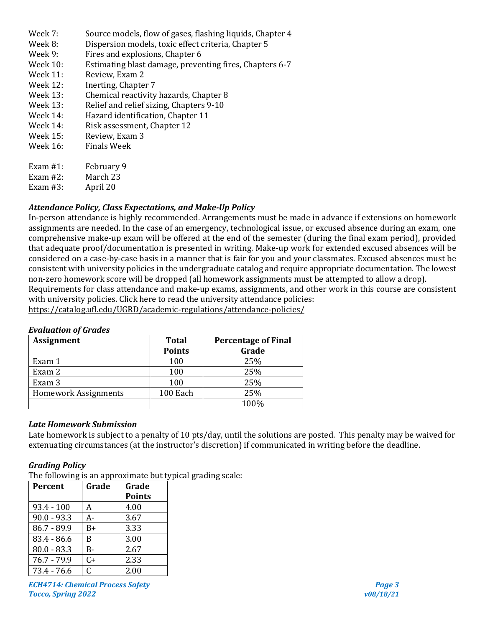- Week 7: Source models, flow of gases, flashing liquids, Chapter 4<br>Week 8: Dispersion models, toxic effect criteria, Chapter 5
- Week 8: Dispersion models, toxic effect criteria, Chapter 5<br>Week 9: Fires and explosions. Chapter 6
- Week 9: Fires and explosions, Chapter 6<br>Week 10: Estimating blast damage, prever
- Week 10: Estimating blast damage, preventing fires, Chapters 6-7<br>Week 11: Review, Exam 2
- Week 11: Review, Exam 2<br>Week 12: Inerting. Chapte
- Week 12: Inerting, Chapter 7<br>Week 13: Chemical reactivity
- Week 13: Chemical reactivity hazards, Chapter 8<br>Week 13: Relief and relief sizing, Chapters 9-10
- Week 13: Relief and relief sizing, Chapters 9-10<br>Week 14: Hazard identification. Chapter 11
- Week 14: Hazard identification, Chapter 11<br>Week 14: Risk assessment, Chapter 12
- Week 14: Risk assessment, Chapter 12<br>Week 15: Review. Exam 3
- Week 15: Review, Exam 3<br>Week 16: Finals Week
- Finals Week
- Exam #1: February 9<br>Exam #2: March 23
- March 23<br>April 20
- Exam  $#3$ :

## *Attendance Policy, Class Expectations, and Make-Up Policy*

In-person attendance is highly recommended. Arrangements must be made in advance if extensions on homework assignments are needed. In the case of an emergency, technological issue, or excused absence during an exam, one comprehensive make-up exam will be offered at the end of the semester (during the final exam period), provided that adequate proof/documentation is presented in writing. Make-up work for extended excused absences will be considered on a case-by-case basis in a manner that is fair for you and your classmates. Excused absences must be consistent with university policies in the undergraduate catalog and require appropriate documentation. The lowest non-zero homework score will be dropped (all homework assignments must be attempted to allow a drop).

Requirements for class attendance and make-up exams, assignments, and other work in this course are consistent with university policies. Click here to read the university attendance policies:

<https://catalog.ufl.edu/UGRD/academic-regulations/attendance-policies/>

## *Evaluation of Grades*

| <b>Assignment</b>           | <b>Total</b>  | <b>Percentage of Final</b> |
|-----------------------------|---------------|----------------------------|
|                             | <b>Points</b> | Grade                      |
| Exam 1                      | 100           | 25%                        |
| Exam 2                      | 100           | 25%                        |
| Exam 3                      | 100           | 25%                        |
| <b>Homework Assignments</b> | 100 Each      | 25%                        |
|                             |               | 100%                       |

## *Late Homework Submission*

Late homework is subject to a penalty of 10 pts/day, until the solutions are posted. This penalty may be waived for extenuating circumstances (at the instructor's discretion) if communicated in writing before the deadline.

## *Grading Policy*

The following is an approximate but typical grading scale:

| Percent       | Grade | Grade         |
|---------------|-------|---------------|
|               |       | <b>Points</b> |
| $93.4 - 100$  | А     | 4.00          |
| $90.0 - 93.3$ | А-    | 3.67          |
| $86.7 - 89.9$ | $B+$  | 3.33          |
| $83.4 - 86.6$ | B     | 3.00          |
| $80.0 - 83.3$ | B-    | 2.67          |
| $76.7 - 79.9$ | $C+$  | 2.33          |
| $73.4 - 76.6$ | C     | 2.00          |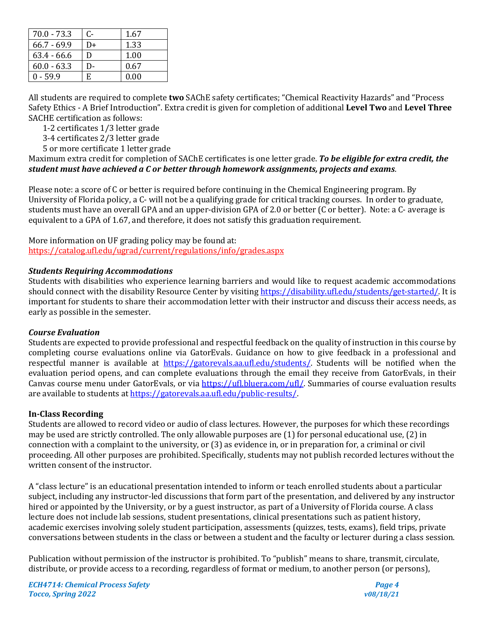| $70.0 - 73.3$ | C- | 1.67 |
|---------------|----|------|
| $66.7 - 69.9$ | D+ | 1.33 |
| $63.4 - 66.6$ | D  | 1.00 |
| $60.0 - 63.3$ | D- | 0.67 |
| $0 - 59.9$    | F. | 0.00 |

All students are required to complete **two** SAChE safety certificates; "Chemical Reactivity Hazards" and "Process Safety Ethics - A Brief Introduction". Extra credit is given for completion of additional **Level Two** and **Level Three** SACHE certification as follows:

1-2 certificates 1/3 letter grade

3-4 certificates 2/3 letter grade

5 or more certificate 1 letter grade

Maximum extra credit for completion of SAChE certificates is one letter grade. *To be eligible for extra credit, the student must have achieved a C or better through homework assignments, projects and exams*.

Please note: a score of C or better is required before continuing in the Chemical Engineering program. By University of Florida policy, a C- will not be a qualifying grade for critical tracking courses. In order to graduate, students must have an overall GPA and an upper-division GPA of 2.0 or better (C or better). Note: a C- average is equivalent to a GPA of 1.67, and therefore, it does not satisfy this graduation requirement.

More information on UF grading policy may be found at: <https://catalog.ufl.edu/ugrad/current/regulations/info/grades.aspx>

## *Students Requiring Accommodations*

Students with disabilities who experience learning barriers and would like to request academic accommodations should connect with the disability Resource Center by visiting [https://disability.ufl.edu/students/get-started/.](https://disability.ufl.edu/students/get-started/) It is important for students to share their accommodation letter with their instructor and discuss their access needs, as early as possible in the semester.

#### *Course Evaluation*

Students are expected to provide professional and respectful feedback on the quality of instruction in this course by completing course evaluations online via GatorEvals. Guidance on how to give feedback in a professional and respectful manner is available at [https://gatorevals.aa.ufl.edu/students/.](https://gatorevals.aa.ufl.edu/students/) Students will be notified when the evaluation period opens, and can complete evaluations through the email they receive from GatorEvals, in their Canvas course menu under GatorEvals, or via [https://ufl.bluera.com/ufl/.](https://ufl.bluera.com/ufl/) Summaries of course evaluation results are available to students a[t https://gatorevals.aa.ufl.edu/public-results/.](https://gatorevals.aa.ufl.edu/public-results/)

## **In-Class Recording**

Students are allowed to record video or audio of class lectures. However, the purposes for which these recordings may be used are strictly controlled. The only allowable purposes are (1) for personal educational use, (2) in connection with a complaint to the university, or (3) as evidence in, or in preparation for, a criminal or civil proceeding. All other purposes are prohibited. Specifically, students may not publish recorded lectures without the written consent of the instructor.

A "class lecture" is an educational presentation intended to inform or teach enrolled students about a particular subject, including any instructor-led discussions that form part of the presentation, and delivered by any instructor hired or appointed by the University, or by a guest instructor, as part of a University of Florida course. A class lecture does not include lab sessions, student presentations, clinical presentations such as patient history, academic exercises involving solely student participation, assessments (quizzes, tests, exams), field trips, private conversations between students in the class or between a student and the faculty or lecturer during a class session.

Publication without permission of the instructor is prohibited. To "publish" means to share, transmit, circulate, distribute, or provide access to a recording, regardless of format or medium, to another person (or persons),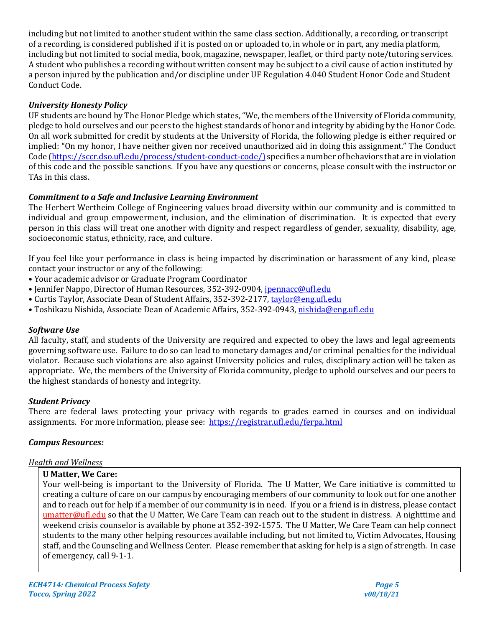including but not limited to another student within the same class section. Additionally, a recording, or transcript of a recording, is considered published if it is posted on or uploaded to, in whole or in part, any media platform, including but not limited to social media, book, magazine, newspaper, leaflet, or third party note/tutoring services. A student who publishes a recording without written consent may be subject to a civil cause of action instituted by a person injured by the publication and/or discipline under UF Regulation 4.040 Student Honor Code and Student Conduct Code.

## *University Honesty Policy*

UF students are bound by The Honor Pledge which states, "We, the members of the University of Florida community, pledge to hold ourselves and our peers to the highest standards of honor and integrity by abiding by the Honor Code. On all work submitted for credit by students at the University of Florida, the following pledge is either required or implied: "On my honor, I have neither given nor received unauthorized aid in doing this assignment." The Conduct Code [\(https://sccr.dso.ufl.edu/process/student-conduct-code/\)](https://sccr.dso.ufl.edu/process/student-conduct-code/) specifies a number of behaviors that are in violation of this code and the possible sanctions. If you have any questions or concerns, please consult with the instructor or TAs in this class.

## *Commitment to a Safe and Inclusive Learning Environment*

The Herbert Wertheim College of Engineering values broad diversity within our community and is committed to individual and group empowerment, inclusion, and the elimination of discrimination. It is expected that every person in this class will treat one another with dignity and respect regardless of gender, sexuality, disability, age, socioeconomic status, ethnicity, race, and culture.

If you feel like your performance in class is being impacted by discrimination or harassment of any kind, please contact your instructor or any of the following:

- Your academic advisor or Graduate Program Coordinator
- Jennifer Nappo, Director of Human Resources, 352-392-0904, [jpennacc@ufl.edu](mailto:jpennacc@ufl.edu)
- Curtis Taylor, Associate Dean of Student Affairs, 352-392-2177[, taylor@eng.ufl.edu](mailto:taylor@eng.ufl.edu)
- Toshikazu Nishida, Associate Dean of Academic Affairs, 352-392-0943[, nishida@eng.ufl.edu](mailto:nishida@eng.ufl.edu)

## *Software Use*

All faculty, staff, and students of the University are required and expected to obey the laws and legal agreements governing software use. Failure to do so can lead to monetary damages and/or criminal penalties for the individual violator. Because such violations are also against University policies and rules, disciplinary action will be taken as appropriate. We, the members of the University of Florida community, pledge to uphold ourselves and our peers to the highest standards of honesty and integrity.

## *Student Privacy*

There are federal laws protecting your privacy with regards to grades earned in courses and on individual assignments. For more information, please see: <https://registrar.ufl.edu/ferpa.html>

## *Campus Resources:*

## *Health and Wellness*

## **U Matter, We Care:**

Your well-being is important to the University of Florida. The U Matter, We Care initiative is committed to creating a culture of care on our campus by encouraging members of our community to look out for one another and to reach out for help if a member of our community is in need. If you or a friend is in distress, please contact [umatter@ufl.edu](mailto:umatter@ufl.edu) so that the U Matter, We Care Team can reach out to the student in distress. A nighttime and weekend crisis counselor is available by phone at 352-392-1575. The U Matter, We Care Team can help connect students to the many other helping resources available including, but not limited to, Victim Advocates, Housing staff, and the Counseling and Wellness Center. Please remember that asking for help is a sign of strength. In case of emergency, call 9-1-1.